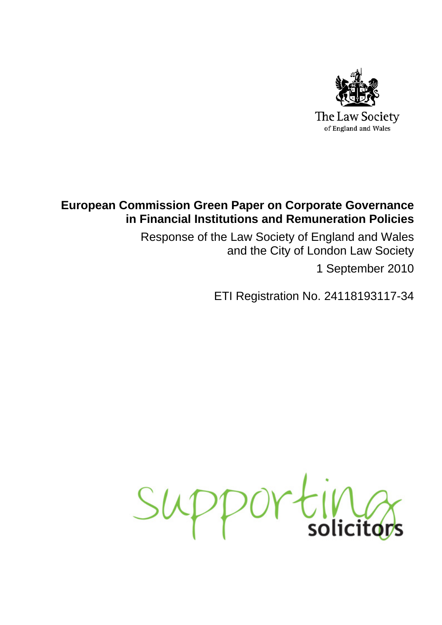

# **European Commission Green Paper on Corporate Governance in Financial Institutions and Remuneration Policies**

Response of the Law Society of England and Wales and the City of London Law Society 1 September 2010

ETI Registration No. 24118193117-34

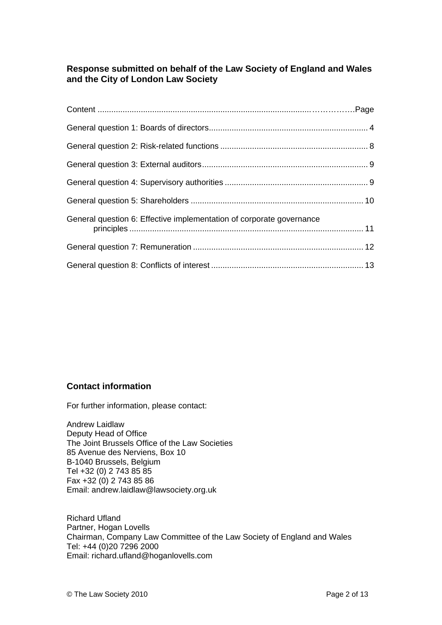# **Response submitted on behalf of the Law Society of England and Wales and the City of London Law Society**

| General question 6: Effective implementation of corporate governance |  |
|----------------------------------------------------------------------|--|
|                                                                      |  |
|                                                                      |  |

# **Contact information**

For further information, please contact:

Andrew Laidlaw Deputy Head of Office The Joint Brussels Office of the Law Societies 85 Avenue des Nerviens, Box 10 B-1040 Brussels, Belgium Tel +32 (0) 2 743 85 85 Fax +32 (0) 2 743 85 86 Email: [andrew.laidlaw@lawsociety.org.uk](mailto:andrew.laidlaw@lawsociety.org.uk) 

Richard Ufland Partner, Hogan Lovells Chairman, Company Law Committee of the Law Society of England and Wales Tel: +44 (0)20 7296 2000 Email: [richard.ufland@hoganlovells.com](mailto:richard.ufland@hoganlovells.com)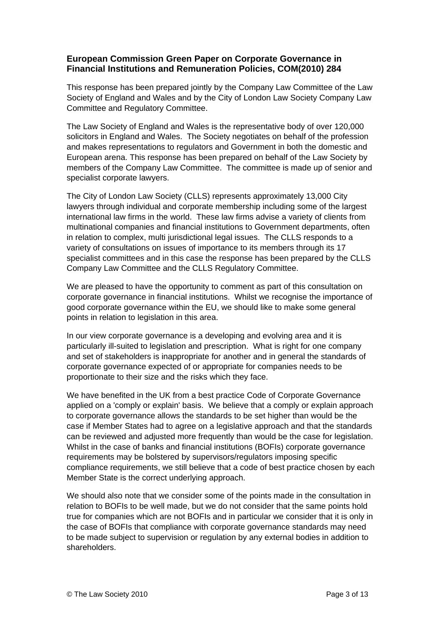# **European Commission Green Paper on Corporate Governance in Financial Institutions and Remuneration Policies, COM(2010) 284**

This response has been prepared jointly by the Company Law Committee of the Law Society of England and Wales and by the City of London Law Society Company Law Committee and Regulatory Committee.

The Law Society of England and Wales is the representative body of over 120,000 solicitors in England and Wales. The Society negotiates on behalf of the profession and makes representations to regulators and Government in both the domestic and European arena. This response has been prepared on behalf of the Law Society by members of the Company Law Committee. The committee is made up of senior and specialist corporate lawyers.

The City of London Law Society (CLLS) represents approximately 13,000 City lawyers through individual and corporate membership including some of the largest international law firms in the world. These law firms advise a variety of clients from multinational companies and financial institutions to Government departments, often in relation to complex, multi jurisdictional legal issues. The CLLS responds to a variety of consultations on issues of importance to its members through its 17 specialist committees and in this case the response has been prepared by the CLLS Company Law Committee and the CLLS Regulatory Committee.

We are pleased to have the opportunity to comment as part of this consultation on corporate governance in financial institutions. Whilst we recognise the importance of good corporate governance within the EU, we should like to make some general points in relation to legislation in this area.

In our view corporate governance is a developing and evolving area and it is particularly ill-suited to legislation and prescription. What is right for one company and set of stakeholders is inappropriate for another and in general the standards of corporate governance expected of or appropriate for companies needs to be proportionate to their size and the risks which they face.

We have benefited in the UK from a best practice Code of Corporate Governance applied on a 'comply or explain' basis. We believe that a comply or explain approach to corporate governance allows the standards to be set higher than would be the case if Member States had to agree on a legislative approach and that the standards can be reviewed and adjusted more frequently than would be the case for legislation. Whilst in the case of banks and financial institutions (BOFIs) corporate governance requirements may be bolstered by supervisors/regulators imposing specific compliance requirements, we still believe that a code of best practice chosen by each Member State is the correct underlying approach.

We should also note that we consider some of the points made in the consultation in relation to BOFIs to be well made, but we do not consider that the same points hold true for companies which are not BOFIs and in particular we consider that it is only in the case of BOFIs that compliance with corporate governance standards may need to be made subject to supervision or regulation by any external bodies in addition to shareholders.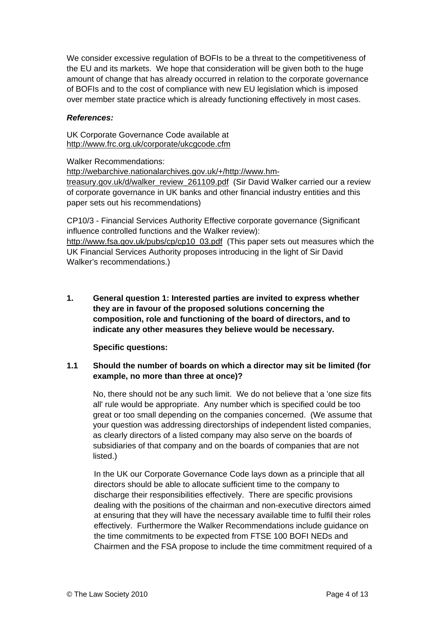<span id="page-3-0"></span>We consider excessive regulation of BOFIs to be a threat to the competitiveness of the EU and its markets. We hope that consideration will be given both to the huge amount of change that has already occurred in relation to the corporate governance of BOFIs and to the cost of compliance with new EU legislation which is imposed over member state practice which is already functioning effectively in most cases.

#### *References:*

UK Corporate Governance Code available at <http://www.frc.org.uk/corporate/ukcgcode.cfm>

Walker Recommendations:

[http://webarchive.nationalarchives.gov.uk/+/http://www.hm-](http://webarchive.nationalarchives.gov.uk/+/http:/www.hm-treasury.gov.uk/d/walker_review_261109.pdf)

[treasury.gov.uk/d/walker\\_review\\_261109.pdf](http://webarchive.nationalarchives.gov.uk/+/http:/www.hm-treasury.gov.uk/d/walker_review_261109.pdf) (Sir David Walker carried our a review of corporate governance in UK banks and other financial industry entities and this paper sets out his recommendations)

CP10/3 - Financial Services Authority Effective corporate governance (Significant influence controlled functions and the Walker review):

[http://www.fsa.gov.uk/pubs/cp/cp10\\_03.pdf](http://www.fsa.gov.uk/pubs/cp/cp10_03.pdf) (This paper sets out measures which the UK Financial Services Authority proposes introducing in the light of Sir David Walker's recommendations.)

**1. General question 1: Interested parties are invited to express whether they are in favour of the proposed solutions concerning the composition, role and functioning of the board of directors, and to indicate any other measures they believe would be necessary.**

**Specific questions:** 

#### **1.1 Should the number of boards on which a director may sit be limited (for example, no more than three at once)?**

No, there should not be any such limit. We do not believe that a 'one size fits all' rule would be appropriate. Any number which is specified could be too great or too small depending on the companies concerned. (We assume that your question was addressing directorships of independent listed companies, as clearly directors of a listed company may also serve on the boards of subsidiaries of that company and on the boards of companies that are not listed.)

In the UK our Corporate Governance Code lays down as a principle that all directors should be able to allocate sufficient time to the company to discharge their responsibilities effectively. There are specific provisions dealing with the positions of the chairman and non-executive directors aimed at ensuring that they will have the necessary available time to fulfil their roles effectively. Furthermore the Walker Recommendations include guidance on the time commitments to be expected from FTSE 100 BOFI NEDs and Chairmen and the FSA propose to include the time commitment required of a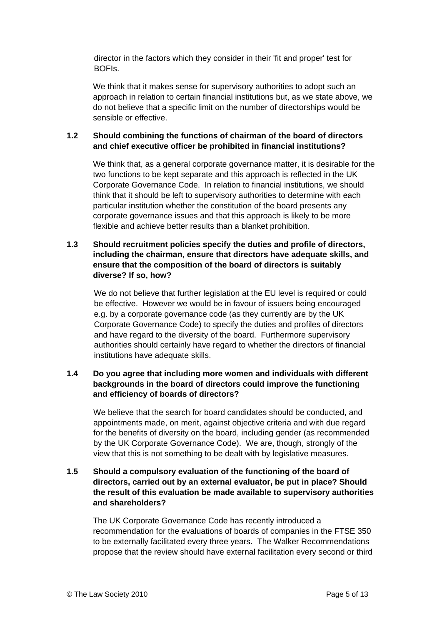director in the factors which they consider in their 'fit and proper' test for BOFIs.

We think that it makes sense for supervisory authorities to adopt such an approach in relation to certain financial institutions but, as we state above, we do not believe that a specific limit on the number of directorships would be sensible or effective.

#### **1.2 Should combining the functions of chairman of the board of directors and chief executive officer be prohibited in financial institutions?**

We think that, as a general corporate governance matter, it is desirable for the two functions to be kept separate and this approach is reflected in the UK Corporate Governance Code. In relation to financial institutions, we should think that it should be left to supervisory authorities to determine with each particular institution whether the constitution of the board presents any corporate governance issues and that this approach is likely to be more flexible and achieve better results than a blanket prohibition.

### **1.3 Should recruitment policies specify the duties and profile of directors, including the chairman, ensure that directors have adequate skills, and ensure that the composition of the board of directors is suitably diverse? If so, how?**

We do not believe that further legislation at the EU level is required or could be effective. However we would be in favour of issuers being encouraged e.g. by a corporate governance code (as they currently are by the UK Corporate Governance Code) to specify the duties and profiles of directors and have regard to the diversity of the board. Furthermore supervisory authorities should certainly have regard to whether the directors of financial institutions have adequate skills.

### **1.4 Do you agree that including more women and individuals with different backgrounds in the board of directors could improve the functioning and efficiency of boards of directors?**

We believe that the search for board candidates should be conducted, and appointments made, on merit, against objective criteria and with due regard for the benefits of diversity on the board, including gender (as recommended by the UK Corporate Governance Code). We are, though, strongly of the view that this is not something to be dealt with by legislative measures.

#### **1.5 Should a compulsory evaluation of the functioning of the board of directors, carried out by an external evaluator, be put in place? Should the result of this evaluation be made available to supervisory authorities and shareholders?**

The UK Corporate Governance Code has recently introduced a recommendation for the evaluations of boards of companies in the FTSE 350 to be externally facilitated every three years. The Walker Recommendations propose that the review should have external facilitation every second or third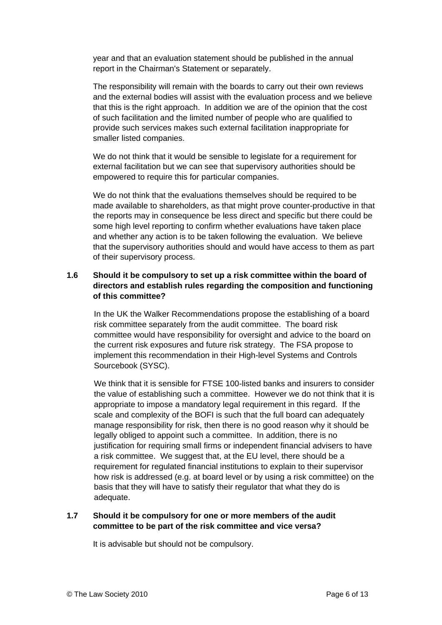year and that an evaluation statement should be published in the annual report in the Chairman's Statement or separately.

The responsibility will remain with the boards to carry out their own reviews and the external bodies will assist with the evaluation process and we believe that this is the right approach. In addition we are of the opinion that the cost of such facilitation and the limited number of people who are qualified to provide such services makes such external facilitation inappropriate for smaller listed companies.

We do not think that it would be sensible to legislate for a requirement for external facilitation but we can see that supervisory authorities should be empowered to require this for particular companies.

We do not think that the evaluations themselves should be required to be made available to shareholders, as that might prove counter-productive in that the reports may in consequence be less direct and specific but there could be some high level reporting to confirm whether evaluations have taken place and whether any action is to be taken following the evaluation. We believe that the supervisory authorities should and would have access to them as part of their supervisory process.

#### **1.6 Should it be compulsory to set up a risk committee within the board of directors and establish rules regarding the composition and functioning of this committee?**

In the UK the Walker Recommendations propose the establishing of a board risk committee separately from the audit committee. The board risk committee would have responsibility for oversight and advice to the board on the current risk exposures and future risk strategy. The FSA propose to implement this recommendation in their High-level Systems and Controls Sourcebook (SYSC).

We think that it is sensible for FTSE 100-listed banks and insurers to consider the value of establishing such a committee. However we do not think that it is appropriate to impose a mandatory legal requirement in this regard. If the scale and complexity of the BOFI is such that the full board can adequately manage responsibility for risk, then there is no good reason why it should be legally obliged to appoint such a committee. In addition, there is no justification for requiring small firms or independent financial advisers to have a risk committee. We suggest that, at the EU level, there should be a requirement for regulated financial institutions to explain to their supervisor how risk is addressed (e.g. at board level or by using a risk committee) on the basis that they will have to satisfy their regulator that what they do is adequate.

#### **1.7 Should it be compulsory for one or more members of the audit committee to be part of the risk committee and vice versa?**

It is advisable but should not be compulsory.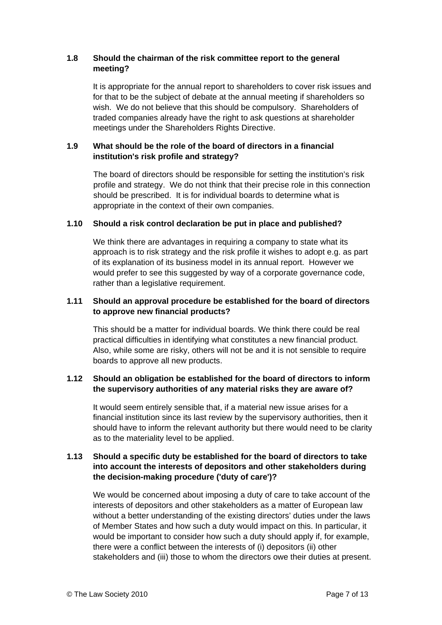#### **1.8 Should the chairman of the risk committee report to the general meeting?**

It is appropriate for the annual report to shareholders to cover risk issues and for that to be the subject of debate at the annual meeting if shareholders so wish. We do not believe that this should be compulsory. Shareholders of traded companies already have the right to ask questions at shareholder meetings under the Shareholders Rights Directive.

#### **1.9 What should be the role of the board of directors in a financial institution's risk profile and strategy?**

The board of directors should be responsible for setting the institution's risk profile and strategy. We do not think that their precise role in this connection should be prescribed. It is for individual boards to determine what is appropriate in the context of their own companies.

#### **1.10 Should a risk control declaration be put in place and published?**

We think there are advantages in requiring a company to state what its approach is to risk strategy and the risk profile it wishes to adopt e.g. as part of its explanation of its business model in its annual report. However we would prefer to see this suggested by way of a corporate governance code, rather than a legislative requirement.

#### **1.11 Should an approval procedure be established for the board of directors to approve new financial products?**

This should be a matter for individual boards. We think there could be real practical difficulties in identifying what constitutes a new financial product. Also, while some are risky, others will not be and it is not sensible to require boards to approve all new products.

#### **1.12 Should an obligation be established for the board of directors to inform the supervisory authorities of any material risks they are aware of?**

It would seem entirely sensible that, if a material new issue arises for a financial institution since its last review by the supervisory authorities, then it should have to inform the relevant authority but there would need to be clarity as to the materiality level to be applied.

#### **1.13 Should a specific duty be established for the board of directors to take into account the interests of depositors and other stakeholders during the decision-making procedure ('duty of care')?**

We would be concerned about imposing a duty of care to take account of the interests of depositors and other stakeholders as a matter of European law without a better understanding of the existing directors' duties under the laws of Member States and how such a duty would impact on this. In particular, it would be important to consider how such a duty should apply if, for example, there were a conflict between the interests of (i) depositors (ii) other stakeholders and (iii) those to whom the directors owe their duties at present.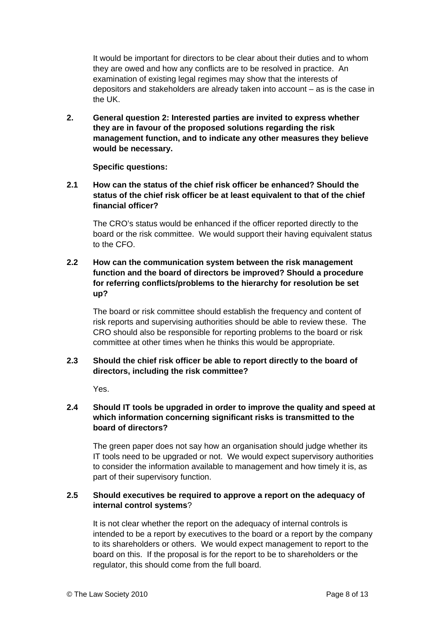<span id="page-7-0"></span>It would be important for directors to be clear about their duties and to whom they are owed and how any conflicts are to be resolved in practice. An examination of existing legal regimes may show that the interests of depositors and stakeholders are already taken into account – as is the case in the UK.

**2. General question 2: Interested parties are invited to express whether they are in favour of the proposed solutions regarding the risk management function, and to indicate any other measures they believe would be necessary.**

**Specific questions:** 

# **2.1 How can the status of the chief risk officer be enhanced? Should the status of the chief risk officer be at least equivalent to that of the chief financial officer?**

The CRO's status would be enhanced if the officer reported directly to the board or the risk committee. We would support their having equivalent status to the CFO.

#### **2.2 How can the communication system between the risk management function and the board of directors be improved? Should a procedure for referring conflicts/problems to the hierarchy for resolution be set up?**

The board or risk committee should establish the frequency and content of risk reports and supervising authorities should be able to review these. The CRO should also be responsible for reporting problems to the board or risk committee at other times when he thinks this would be appropriate.

# **2.3 Should the chief risk officer be able to report directly to the board of directors, including the risk committee?**

Yes.

# **2.4 Should IT tools be upgraded in order to improve the quality and speed at which information concerning significant risks is transmitted to the board of directors?**

The green paper does not say how an organisation should judge whether its IT tools need to be upgraded or not. We would expect supervisory authorities to consider the information available to management and how timely it is, as part of their supervisory function.

#### **2.5 Should executives be required to approve a report on the adequacy of internal control systems**?

It is not clear whether the report on the adequacy of internal controls is intended to be a report by executives to the board or a report by the company to its shareholders or others. We would expect management to report to the board on this. If the proposal is for the report to be to shareholders or the regulator, this should come from the full board.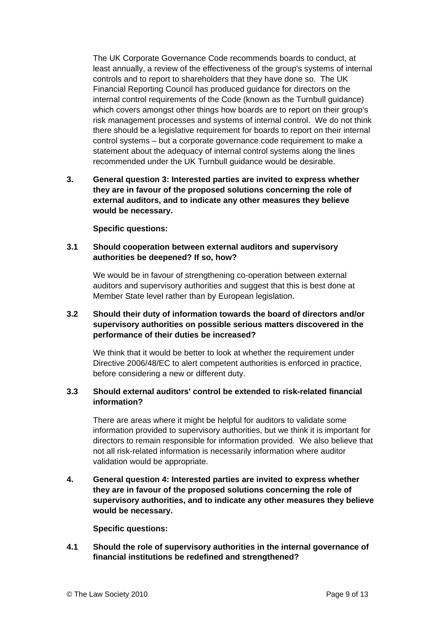<span id="page-8-0"></span>The UK Corporate Governance Code recommends boards to conduct, at least annually, a review of the effectiveness of the group's systems of internal controls and to report to shareholders that they have done so. The UK Financial Reporting Council has produced guidance for directors on the internal control requirements of the Code (known as the Turnbull guidance) which covers amongst other things how boards are to report on their group's risk management processes and systems of internal control. We do not think there should be a legislative requirement for boards to report on their internal control systems – but a corporate governance code requirement to make a statement about the adequacy of internal control systems along the lines recommended under the UK Turnbull guidance would be desirable.

**3. General question 3: Interested parties are invited to express whether they are in favour of the proposed solutions concerning the role of external auditors, and to indicate any other measures they believe would be necessary.**

**Specific questions:** 

#### **3.1 Should cooperation between external auditors and supervisory authorities be deepened? If so, how?**

We would be in favour of strengthening co-operation between external auditors and supervisory authorities and suggest that this is best done at Member State level rather than by European legislation.

### **3.2 Should their duty of information towards the board of directors and/or supervisory authorities on possible serious matters discovered in the performance of their duties be increased?**

We think that it would be better to look at whether the requirement under Directive 2006/48/EC to alert competent authorities is enforced in practice, before considering a new or different duty.

#### **3.3 Should external auditors' control be extended to risk-related financial information?**

There are areas where it might be helpful for auditors to validate some information provided to supervisory authorities, but we think it is important for directors to remain responsible for information provided. We also believe that not all risk-related information is necessarily information where auditor validation would be appropriate.

**4. General question 4: Interested parties are invited to express whether they are in favour of the proposed solutions concerning the role of supervisory authorities, and to indicate any other measures they believe would be necessary.**

**Specific questions:** 

**4.1 Should the role of supervisory authorities in the internal governance of financial institutions be redefined and strengthened?**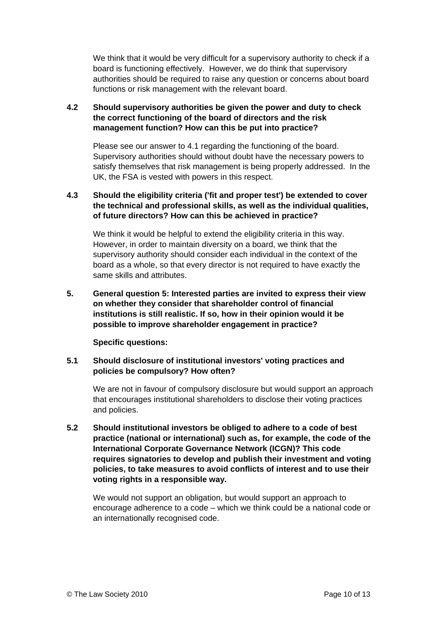<span id="page-9-0"></span>We think that it would be very difficult for a supervisory authority to check if a board is functioning effectively. However, we do think that supervisory authorities should be required to raise any question or concerns about board functions or risk management with the relevant board.

### **4.2 Should supervisory authorities be given the power and duty to check the correct functioning of the board of directors and the risk management function? How can this be put into practice?**

Please see our answer to 4.1 regarding the functioning of the board. Supervisory authorities should without doubt have the necessary powers to satisfy themselves that risk management is being properly addressed. In the UK, the FSA is vested with powers in this respect.

### **4.3 Should the eligibility criteria ('fit and proper test') be extended to cover the technical and professional skills, as well as the individual qualities, of future directors? How can this be achieved in practice?**

We think it would be helpful to extend the eligibility criteria in this way. However, in order to maintain diversity on a board, we think that the supervisory authority should consider each individual in the context of the board as a whole, so that every director is not required to have exactly the same skills and attributes.

**5. General question 5: Interested parties are invited to express their view on whether they consider that shareholder control of financial institutions is still realistic. If so, how in their opinion would it be possible to improve shareholder engagement in practice?** 

#### **Specific questions:**

# **5.1 Should disclosure of institutional investors' voting practices and policies be compulsory? How often?**

We are not in favour of compulsory disclosure but would support an approach that encourages institutional shareholders to disclose their voting practices and policies.

**5.2 Should institutional investors be obliged to adhere to a code of best practice (national or international) such as, for example, the code of the International Corporate Governance Network (ICGN)? This code requires signatories to develop and publish their investment and voting policies, to take measures to avoid conflicts of interest and to use their voting rights in a responsible way.** 

We would not support an obligation, but would support an approach to encourage adherence to a code – which we think could be a national code or an internationally recognised code.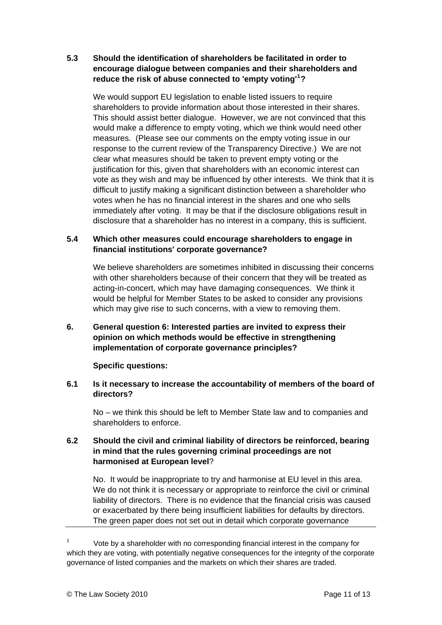#### <span id="page-10-0"></span>**5.3 Should the identification of shareholders be facilitated in order to encourage dialogue between companies and their shareholders and reduce the risk of abuse connected to 'empty voting'[1](#page-10-1) ?**

We would support EU legislation to enable listed issuers to require shareholders to provide information about those interested in their shares. This should assist better dialogue. However, we are not convinced that this would make a difference to empty voting, which we think would need other measures. (Please see our comments on the empty voting issue in our response to the current review of the Transparency Directive.) We are not clear what measures should be taken to prevent empty voting or the justification for this, given that shareholders with an economic interest can vote as they wish and may be influenced by other interests. We think that it is difficult to justify making a significant distinction between a shareholder who votes when he has no financial interest in the shares and one who sells immediately after voting. It may be that if the disclosure obligations result in disclosure that a shareholder has no interest in a company, this is sufficient.

#### **5.4 Which other measures could encourage shareholders to engage in financial institutions' corporate governance?**

We believe shareholders are sometimes inhibited in discussing their concerns with other shareholders because of their concern that they will be treated as acting-in-concert, which may have damaging consequences. We think it would be helpful for Member States to be asked to consider any provisions which may give rise to such concerns, with a view to removing them.

# **6. General question 6: Interested parties are invited to express their opinion on which methods would be effective in strengthening implementation of corporate governance principles?**

#### **Specific questions:**

#### **6.1 Is it necessary to increase the accountability of members of the board of directors?**

No – we think this should be left to Member State law and to companies and shareholders to enforce.

### **6.2 Should the civil and criminal liability of directors be reinforced, bearing in mind that the rules governing criminal proceedings are not harmonised at European level**?

No. It would be inappropriate to try and harmonise at EU level in this area. We do not think it is necessary or appropriate to reinforce the civil or criminal liability of directors. There is no evidence that the financial crisis was caused or exacerbated by there being insufficient liabilities for defaults by directors. The green paper does not set out in detail which corporate governance

<span id="page-10-1"></span>1 Vote by a shareholder with no corresponding financial interest in the company for which they are voting, with potentially negative consequences for the integrity of the corporate governance of listed companies and the markets on which their shares are traded.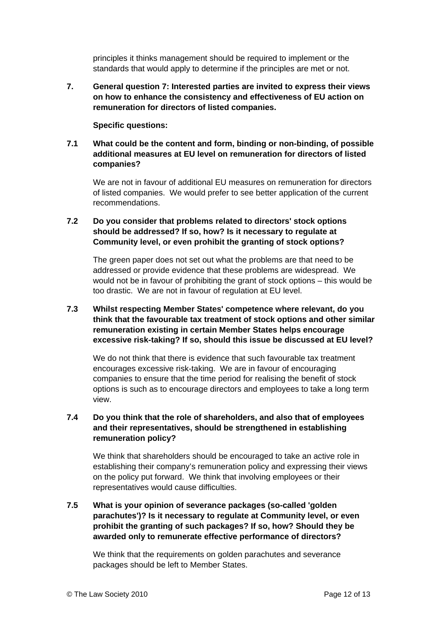principles it thinks management should be required to implement or the standards that would apply to determine if the principles are met or not.

<span id="page-11-0"></span>**7. General question 7: Interested parties are invited to express their views on how to enhance the consistency and effectiveness of EU action on remuneration for directors of listed companies.** 

#### **Specific questions:**

### **7.1 What could be the content and form, binding or non-binding, of possible additional measures at EU level on remuneration for directors of listed companies?**

We are not in favour of additional EU measures on remuneration for directors of listed companies. We would prefer to see better application of the current recommendations.

# **7.2 Do you consider that problems related to directors' stock options should be addressed? If so, how? Is it necessary to regulate at Community level, or even prohibit the granting of stock options?**

The green paper does not set out what the problems are that need to be addressed or provide evidence that these problems are widespread. We would not be in favour of prohibiting the grant of stock options – this would be too drastic. We are not in favour of regulation at EU level.

#### **7.3 Whilst respecting Member States' competence where relevant, do you think that the favourable tax treatment of stock options and other similar remuneration existing in certain Member States helps encourage excessive risk-taking? If so, should this issue be discussed at EU level?**

We do not think that there is evidence that such favourable tax treatment encourages excessive risk-taking. We are in favour of encouraging companies to ensure that the time period for realising the benefit of stock options is such as to encourage directors and employees to take a long term view.

# **7.4 Do you think that the role of shareholders, and also that of employees and their representatives, should be strengthened in establishing remuneration policy?**

We think that shareholders should be encouraged to take an active role in establishing their company's remuneration policy and expressing their views on the policy put forward. We think that involving employees or their representatives would cause difficulties.

**7.5 What is your opinion of severance packages (so-called 'golden parachutes')? Is it necessary to regulate at Community level, or even prohibit the granting of such packages? If so, how? Should they be awarded only to remunerate effective performance of directors?** 

We think that the requirements on golden parachutes and severance packages should be left to Member States.